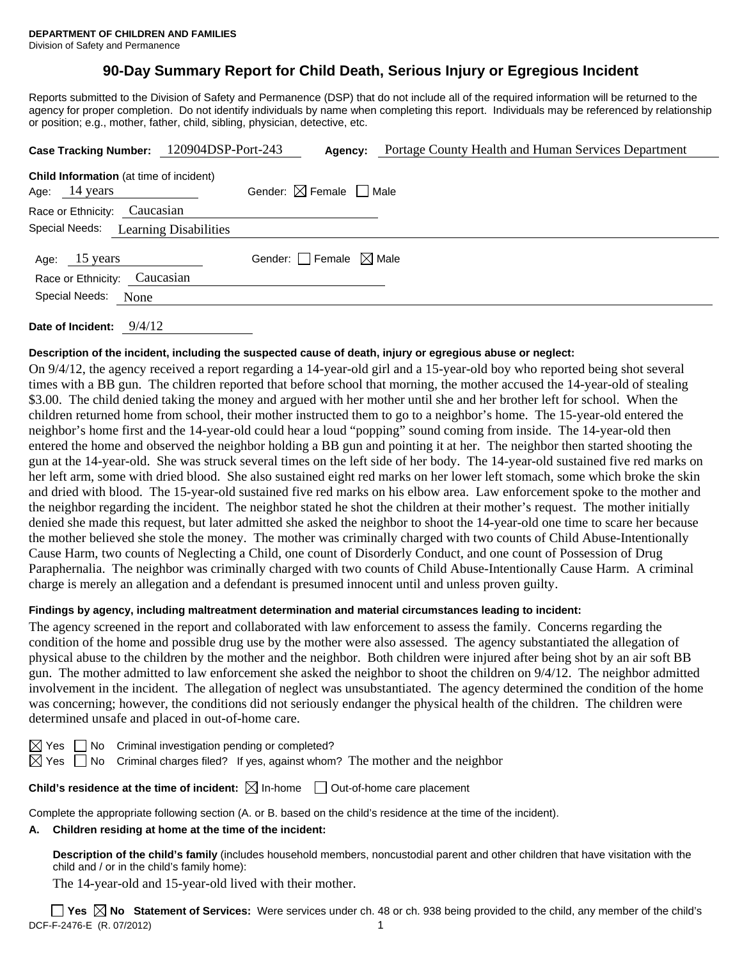# **90-Day Summary Report for Child Death, Serious Injury or Egregious Incident**

Reports submitted to the Division of Safety and Permanence (DSP) that do not include all of the required information will be returned to the agency for proper completion. Do not identify individuals by name when completing this report. Individuals may be referenced by relationship or position; e.g., mother, father, child, sibling, physician, detective, etc.

| Case Tracking Number: 120904DSP-Port-243                                  |                                        | Agency: | Portage County Health and Human Services Department |
|---------------------------------------------------------------------------|----------------------------------------|---------|-----------------------------------------------------|
| <b>Child Information</b> (at time of incident)<br>Age: $14 \text{ years}$ | Gender: $\boxtimes$ Female $\Box$ Male |         |                                                     |
| Race or Ethnicity: Caucasian                                              |                                        |         |                                                     |
| Special Needs:                                                            | <b>Learning Disabilities</b>           |         |                                                     |
| Age: 15 years<br>Race or Ethnicity: Caucasian                             | Gender: Female $\boxtimes$ Male        |         |                                                     |
| Special Needs:<br>None                                                    |                                        |         |                                                     |
|                                                                           |                                        |         |                                                     |

**Date of Incident:** 9/4/12

### **Description of the incident, including the suspected cause of death, injury or egregious abuse or neglect:**

On 9/4/12, the agency received a report regarding a 14-year-old girl and a 15-year-old boy who reported being shot several times with a BB gun. The children reported that before school that morning, the mother accused the 14-year-old of stealing \$3.00. The child denied taking the money and argued with her mother until she and her brother left for school. When the children returned home from school, their mother instructed them to go to a neighbor's home. The 15-year-old entered the neighbor's home first and the 14-year-old could hear a loud "popping" sound coming from inside. The 14-year-old then entered the home and observed the neighbor holding a BB gun and pointing it at her. The neighbor then started shooting the gun at the 14-year-old. She was struck several times on the left side of her body. The 14-year-old sustained five red marks on her left arm, some with dried blood. She also sustained eight red marks on her lower left stomach, some which broke the skin and dried with blood. The 15-year-old sustained five red marks on his elbow area. Law enforcement spoke to the mother and the neighbor regarding the incident. The neighbor stated he shot the children at their mother's request. The mother initially denied she made this request, but later admitted she asked the neighbor to shoot the 14-year-old one time to scare her because the mother believed she stole the money. The mother was criminally charged with two counts of Child Abuse-Intentionally Cause Harm, two counts of Neglecting a Child, one count of Disorderly Conduct, and one count of Possession of Drug Paraphernalia. The neighbor was criminally charged with two counts of Child Abuse-Intentionally Cause Harm. A criminal charge is merely an allegation and a defendant is presumed innocent until and unless proven guilty.

# **Findings by agency, including maltreatment determination and material circumstances leading to incident:**

The agency screened in the report and collaborated with law enforcement to assess the family. Concerns regarding the condition of the home and possible drug use by the mother were also assessed. The agency substantiated the allegation of physical abuse to the children by the mother and the neighbor. Both children were injured after being shot by an air soft BB gun. The mother admitted to law enforcement she asked the neighbor to shoot the children on 9/4/12. The neighbor admitted involvement in the incident. The allegation of neglect was unsubstantiated. The agency determined the condition of the home was concerning; however, the conditions did not seriously endanger the physical health of the children. The children were determined unsafe and placed in out-of-home care.

No Criminal investigation pending or completed?

Yes  $\Box$  No Criminal charges filed? If yes, against whom? The mother and the neighbor

| Child's residence at the time of incident: $\boxtimes$ In-home |  | Out-of-home care placement |
|----------------------------------------------------------------|--|----------------------------|
|----------------------------------------------------------------|--|----------------------------|

Complete the appropriate following section (A. or B. based on the child's residence at the time of the incident).

### **A. Children residing at home at the time of the incident:**

**Description of the child's family** (includes household members, noncustodial parent and other children that have visitation with the child and / or in the child's family home):

The 14-year-old and 15-year-old lived with their mother.

DCF-F-2476-E (R. 07/2012) 1 **Yes No Statement of Services:** Were services under ch. 48 or ch. 938 being provided to the child, any member of the child's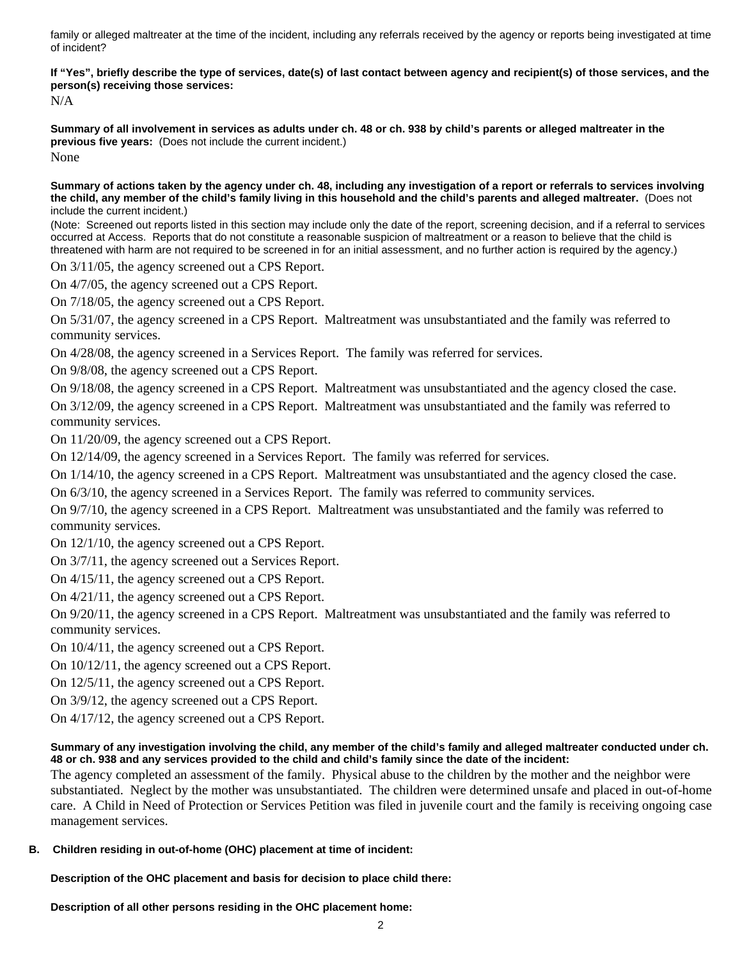family or alleged maltreater at the time of the incident, including any referrals received by the agency or reports being investigated at time of incident?

**If "Yes", briefly describe the type of services, date(s) of last contact between agency and recipient(s) of those services, and the person(s) receiving those services:** 

N/A

**Summary of all involvement in services as adults under ch. 48 or ch. 938 by child's parents or alleged maltreater in the previous five years:** (Does not include the current incident.) None

**Summary of actions taken by the agency under ch. 48, including any investigation of a report or referrals to services involving the child, any member of the child's family living in this household and the child's parents and alleged maltreater.** (Does not include the current incident.)

(Note: Screened out reports listed in this section may include only the date of the report, screening decision, and if a referral to services occurred at Access. Reports that do not constitute a reasonable suspicion of maltreatment or a reason to believe that the child is threatened with harm are not required to be screened in for an initial assessment, and no further action is required by the agency.)

On 3/11/05, the agency screened out a CPS Report.

On 4/7/05, the agency screened out a CPS Report.

On 7/18/05, the agency screened out a CPS Report.

On 5/31/07, the agency screened in a CPS Report. Maltreatment was unsubstantiated and the family was referred to community services.

On 4/28/08, the agency screened in a Services Report. The family was referred for services.

On 9/8/08, the agency screened out a CPS Report.

On 9/18/08, the agency screened in a CPS Report. Maltreatment was unsubstantiated and the agency closed the case. On 3/12/09, the agency screened in a CPS Report. Maltreatment was unsubstantiated and the family was referred to community services.

On 11/20/09, the agency screened out a CPS Report.

On 12/14/09, the agency screened in a Services Report. The family was referred for services.

On 1/14/10, the agency screened in a CPS Report. Maltreatment was unsubstantiated and the agency closed the case.

On 6/3/10, the agency screened in a Services Report. The family was referred to community services.

On 9/7/10, the agency screened in a CPS Report. Maltreatment was unsubstantiated and the family was referred to community services.

On 12/1/10, the agency screened out a CPS Report.

On 3/7/11, the agency screened out a Services Report.

On 4/15/11, the agency screened out a CPS Report.

On 4/21/11, the agency screened out a CPS Report.

On 9/20/11, the agency screened in a CPS Report. Maltreatment was unsubstantiated and the family was referred to community services.

On 10/4/11, the agency screened out a CPS Report.

On 10/12/11, the agency screened out a CPS Report.

On 12/5/11, the agency screened out a CPS Report.

On 3/9/12, the agency screened out a CPS Report.

On 4/17/12, the agency screened out a CPS Report.

### **Summary of any investigation involving the child, any member of the child's family and alleged maltreater conducted under ch. 48 or ch. 938 and any services provided to the child and child's family since the date of the incident:**

The agency completed an assessment of the family. Physical abuse to the children by the mother and the neighbor were substantiated. Neglect by the mother was unsubstantiated. The children were determined unsafe and placed in out-of-home care. A Child in Need of Protection or Services Petition was filed in juvenile court and the family is receiving ongoing case management services.

### **B. Children residing in out-of-home (OHC) placement at time of incident:**

**Description of the OHC placement and basis for decision to place child there:**

**Description of all other persons residing in the OHC placement home:**